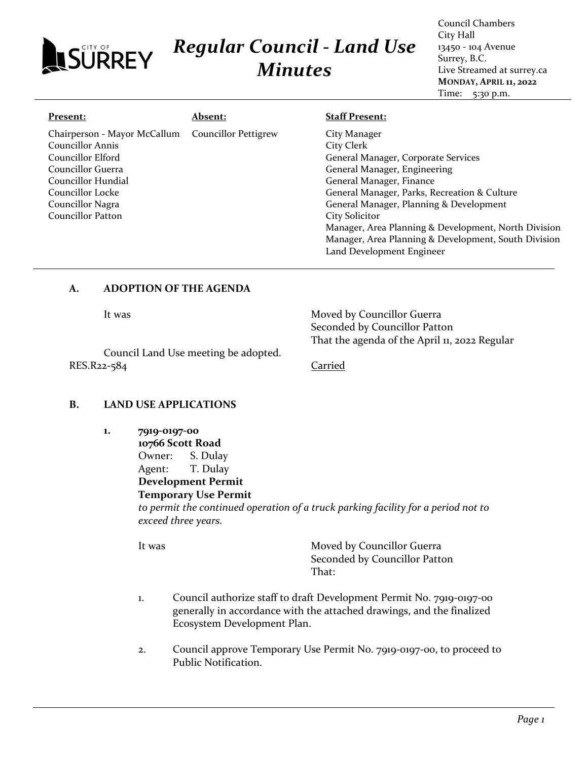# *Regular Council - Land Use* **ISURREY** *Minutes*

Council Chambers City Hall 13450 - 104 Avenue Surrey, B.C. Live Streamed at surrey.ca **MONDAY, APRIL 11, 2022** Time: 5:30 p.m.

### **Present:**

#### **Absent:**

## **Staff Present:**

| Chairperson - Mayor McCallum  Councillor Pettigrew<br><b>Councillor Annis</b><br>Councillor Elford<br>Councillor Guerra<br>Councillor Hundial<br>Councillor Locke<br>Councillor Nagra<br>Councillor Patton | City Manager<br>City Clerk<br>General Manager, Corporate Services<br>General Manager, Engineering<br>General Manager, Finance<br>General Manager, Parks, Recreation & Culture<br>General Manager, Planning & Development<br>City Solicitor |
|------------------------------------------------------------------------------------------------------------------------------------------------------------------------------------------------------------|--------------------------------------------------------------------------------------------------------------------------------------------------------------------------------------------------------------------------------------------|
|                                                                                                                                                                                                            | Manager, Area Planning & Development, North Division<br>Manager, Area Planning & Development, South Division<br>Land Development Engineer                                                                                                  |

# **A. ADOPTION OF THE AGENDA**

It was Moved by Councillor Guerra Seconded by Councillor Patton That the agenda of the April 11, 2022 Regular

Council Land Use meeting be adopted. RES.R22-584 Carried

# **B. LAND USE APPLICATIONS**

**1. 7919-0197-00 10766 Scott Road** Owner: S. Dulay

> Agent: T. Dulay **Development Permit**

## **Temporary Use Permit**

*to permit the continued operation of a truck parking facility for a period not to exceed three years.*

It was Moved by Councillor Guerra Seconded by Councillor Patton That:

- 1. Council authorize staff to draft Development Permit No. 7919-0197-00 generally in accordance with the attached drawings, and the finalized Ecosystem Development Plan.
- 2. Council approve Temporary Use Permit No. 7919-0197-00, to proceed to Public Notification.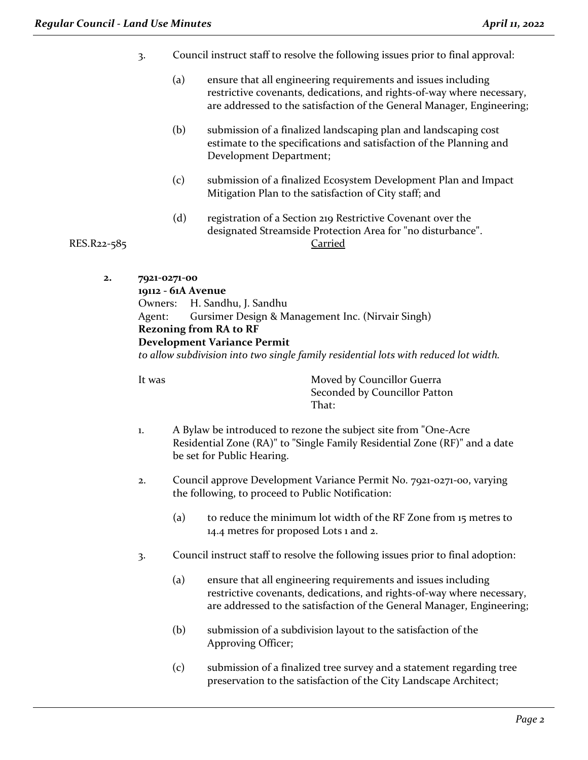- 3. Council instruct staff to resolve the following issues prior to final approval:
	- (a) ensure that all engineering requirements and issues including restrictive covenants, dedications, and rights-of-way where necessary, are addressed to the satisfaction of the General Manager, Engineering;
	- (b) submission of a finalized landscaping plan and landscaping cost estimate to the specifications and satisfaction of the Planning and Development Department;
	- (c) submission of a finalized Ecosystem Development Plan and Impact Mitigation Plan to the satisfaction of City staff; and
- (d) registration of a Section 219 Restrictive Covenant over the designated Streamside Protection Area for "no disturbance". RES.R22-585 Carried

**2. 7921-0271-00**

**19112 - 61A Avenue**

Owners: H. Sandhu, J. Sandhu

Agent: Gursimer Design & Management Inc. (Nirvair Singh)

# **Rezoning from RA to RF**

**Development Variance Permit**

*to allow subdivision into two single family residential lots with reduced lot width.*

It was **Moved by Councillor Guerra** Seconded by Councillor Patton That:

- 1. A Bylaw be introduced to rezone the subject site from "One-Acre Residential Zone (RA)" to "Single Family Residential Zone (RF)" and a date be set for Public Hearing.
- 2. Council approve Development Variance Permit No. 7921-0271-00, varying the following, to proceed to Public Notification:
	- (a) to reduce the minimum lot width of the RF Zone from 15 metres to 14.4 metres for proposed Lots 1 and 2.
- 3. Council instruct staff to resolve the following issues prior to final adoption:
	- (a) ensure that all engineering requirements and issues including restrictive covenants, dedications, and rights-of-way where necessary, are addressed to the satisfaction of the General Manager, Engineering;
	- (b) submission of a subdivision layout to the satisfaction of the Approving Officer;
	- (c) submission of a finalized tree survey and a statement regarding tree preservation to the satisfaction of the City Landscape Architect;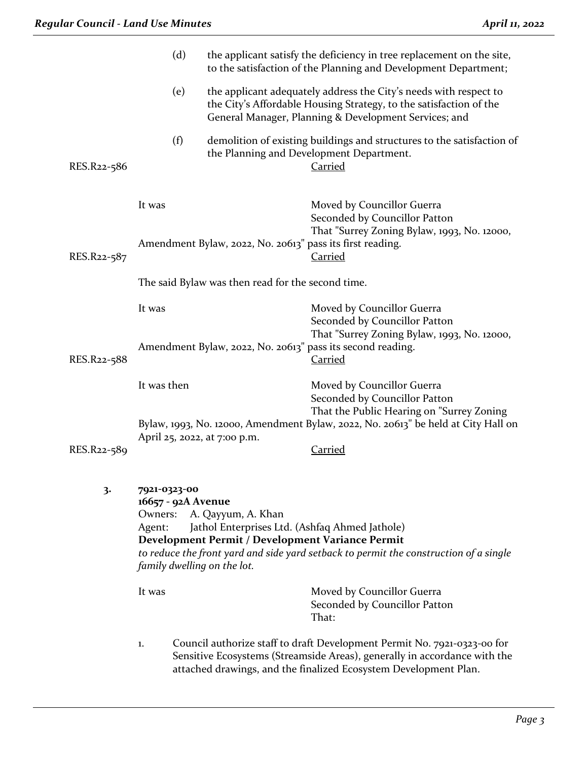|             | (d)                                                                                    |                                                                                                                          | the applicant satisfy the deficiency in tree replacement on the site,<br>to the satisfaction of the Planning and Development Department;                                                                                  |  |
|-------------|----------------------------------------------------------------------------------------|--------------------------------------------------------------------------------------------------------------------------|---------------------------------------------------------------------------------------------------------------------------------------------------------------------------------------------------------------------------|--|
|             | (e)                                                                                    |                                                                                                                          | the applicant adequately address the City's needs with respect to<br>the City's Affordable Housing Strategy, to the satisfaction of the<br>General Manager, Planning & Development Services; and                          |  |
| RES.R22-586 | (f)                                                                                    |                                                                                                                          | demolition of existing buildings and structures to the satisfaction of<br>the Planning and Development Department.<br>Carried                                                                                             |  |
|             | It was                                                                                 |                                                                                                                          | Moved by Councillor Guerra<br>Seconded by Councillor Patton<br>That "Surrey Zoning Bylaw, 1993, No. 12000,                                                                                                                |  |
| RES.R22-587 |                                                                                        | Amendment Bylaw, 2022, No. 20613" pass its first reading.                                                                | <b>Carried</b>                                                                                                                                                                                                            |  |
|             | The said Bylaw was then read for the second time.                                      |                                                                                                                          |                                                                                                                                                                                                                           |  |
|             | It was                                                                                 |                                                                                                                          | Moved by Councillor Guerra<br>Seconded by Councillor Patton<br>That "Surrey Zoning Bylaw, 1993, No. 12000,                                                                                                                |  |
| RES.R22-588 |                                                                                        |                                                                                                                          | Amendment Bylaw, 2022, No. 20613" pass its second reading.<br><b>Carried</b>                                                                                                                                              |  |
|             | It was then                                                                            |                                                                                                                          | Moved by Councillor Guerra<br>Seconded by Councillor Patton<br>That the Public Hearing on "Surrey Zoning                                                                                                                  |  |
|             |                                                                                        | April 25, 2022, at 7:00 p.m.                                                                                             | Bylaw, 1993, No. 12000, Amendment Bylaw, 2022, No. 20613" be held at City Hall on                                                                                                                                         |  |
| RES.R22-589 |                                                                                        |                                                                                                                          | <b>Carried</b>                                                                                                                                                                                                            |  |
| 3.          | 7921-0323-00<br>16657 - 92A Avenue<br>Owners:<br>Agent:<br>family dwelling on the lot. | A. Qayyum, A. Khan<br>Jathol Enterprises Ltd. (Ashfaq Ahmed Jathole)<br>Development Permit / Development Variance Permit | to reduce the front yard and side yard setback to permit the construction of a single                                                                                                                                     |  |
|             | It was                                                                                 |                                                                                                                          | Moved by Councillor Guerra<br>Seconded by Councillor Patton<br>That:                                                                                                                                                      |  |
|             | 1.                                                                                     |                                                                                                                          | Council authorize staff to draft Development Permit No. 7921-0323-00 for<br>Sensitive Ecosystems (Streamside Areas), generally in accordance with the<br>attached drawings, and the finalized Ecosystem Development Plan. |  |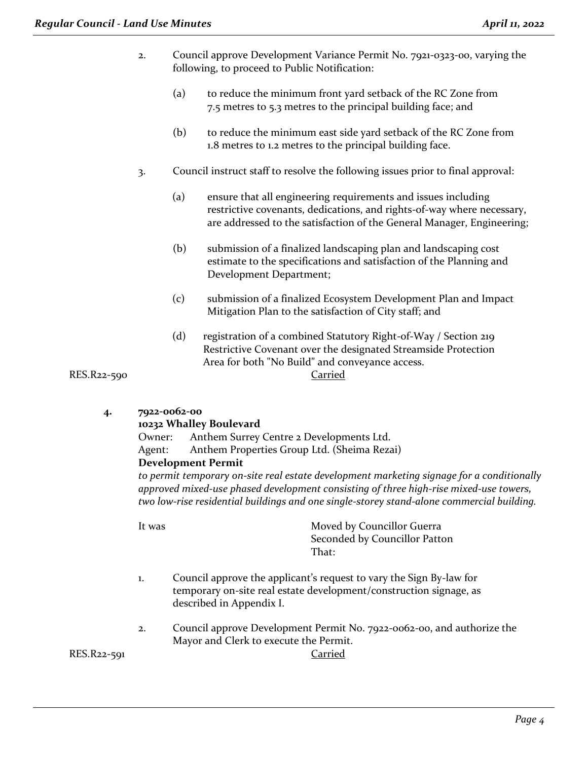- 2. Council approve Development Variance Permit No. 7921-0323-00, varying the following, to proceed to Public Notification:
	- (a) to reduce the minimum front yard setback of the RC Zone from 7.5 metres to 5.3 metres to the principal building face; and
	- (b) to reduce the minimum east side yard setback of the RC Zone from 1.8 metres to 1.2 metres to the principal building face.
- 3. Council instruct staff to resolve the following issues prior to final approval:
	- (a) ensure that all engineering requirements and issues including restrictive covenants, dedications, and rights-of-way where necessary, are addressed to the satisfaction of the General Manager, Engineering;
	- (b) submission of a finalized landscaping plan and landscaping cost estimate to the specifications and satisfaction of the Planning and Development Department;
	- (c) submission of a finalized Ecosystem Development Plan and Impact Mitigation Plan to the satisfaction of City staff; and
	- (d) registration of a combined Statutory Right-of-Way / Section 219 Restrictive Covenant over the designated Streamside Protection Area for both "No Build" and conveyance access.

RES.R22-590 Carried

**4. 7922-0062-00**

# **10232 Whalley Boulevard**

Owner: Anthem Surrey Centre 2 Developments Ltd. Agent: Anthem Properties Group Ltd. (Sheima Rezai)

**Development Permit**

*to permit temporary on-site real estate development marketing signage for a conditionally approved mixed-use phased development consisting of three high-rise mixed-use towers, two low-rise residential buildings and one single-storey stand-alone commercial building.*

It was Moved by Councillor Guerra Seconded by Councillor Patton That:

- 1. Council approve the applicant's request to vary the Sign By-law for temporary on-site real estate development/construction signage, as described in Appendix I.
- 2. Council approve Development Permit No. 7922-0062-00, and authorize the Mayor and Clerk to execute the Permit.

RES.R22-591 Carried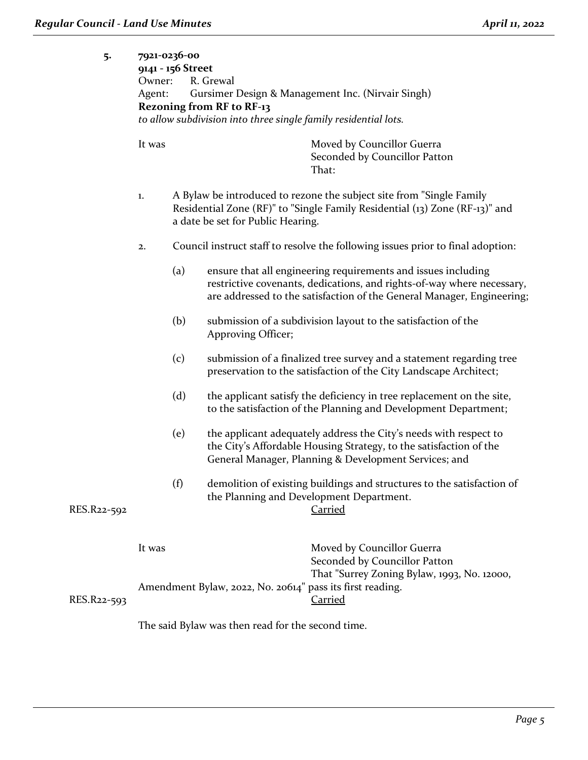| Agent: Gursimer Design & Management Inc. (Nirvair Singh) |
|----------------------------------------------------------|
|                                                          |
|                                                          |
|                                                          |

It was Moved by Councillor Guerra Seconded by Councillor Patton That:

- 1. A Bylaw be introduced to rezone the subject site from "Single Family Residential Zone (RF)" to "Single Family Residential (13) Zone (RF-13)" and a date be set for Public Hearing.
- 2. Council instruct staff to resolve the following issues prior to final adoption:
	- (a) ensure that all engineering requirements and issues including restrictive covenants, dedications, and rights-of-way where necessary, are addressed to the satisfaction of the General Manager, Engineering;
	- (b) submission of a subdivision layout to the satisfaction of the Approving Officer;
	- (c) submission of a finalized tree survey and a statement regarding tree preservation to the satisfaction of the City Landscape Architect;
	- (d) the applicant satisfy the deficiency in tree replacement on the site, to the satisfaction of the Planning and Development Department;
	- (e) the applicant adequately address the City's needs with respect to the City's Affordable Housing Strategy, to the satisfaction of the General Manager, Planning & Development Services; and
- (f) demolition of existing buildings and structures to the satisfaction of the Planning and Development Department. RES.R22-592 Carried

|             | It was                                                    | Moved by Councillor Guerra                  |
|-------------|-----------------------------------------------------------|---------------------------------------------|
|             |                                                           | Seconded by Councillor Patton               |
|             |                                                           | That "Surrey Zoning Bylaw, 1993, No. 12000, |
|             | Amendment Bylaw, 2022, No. 20614" pass its first reading. |                                             |
| RES.R22-593 |                                                           | Carried                                     |

The said Bylaw was then read for the second time.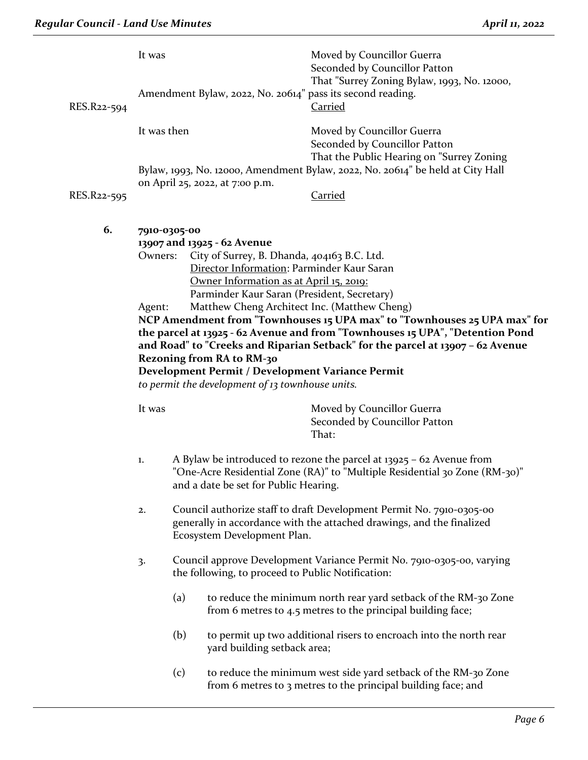| It was                                                                                                                                                                                                                                                                                                                                                                                    |     |                                  | Moved by Councillor Guerra<br>Seconded by Councillor Patton<br>That "Surrey Zoning Bylaw, 1993, No. 12000,<br><b>Carried</b>                                                                                                                                                                                                                                                                                                                                                                                                                                                                                                                                                                            |
|-------------------------------------------------------------------------------------------------------------------------------------------------------------------------------------------------------------------------------------------------------------------------------------------------------------------------------------------------------------------------------------------|-----|----------------------------------|---------------------------------------------------------------------------------------------------------------------------------------------------------------------------------------------------------------------------------------------------------------------------------------------------------------------------------------------------------------------------------------------------------------------------------------------------------------------------------------------------------------------------------------------------------------------------------------------------------------------------------------------------------------------------------------------------------|
|                                                                                                                                                                                                                                                                                                                                                                                           |     |                                  | Moved by Councillor Guerra<br>Seconded by Councillor Patton<br>That the Public Hearing on "Surrey Zoning                                                                                                                                                                                                                                                                                                                                                                                                                                                                                                                                                                                                |
|                                                                                                                                                                                                                                                                                                                                                                                           |     |                                  | Carried                                                                                                                                                                                                                                                                                                                                                                                                                                                                                                                                                                                                                                                                                                 |
|                                                                                                                                                                                                                                                                                                                                                                                           |     |                                  |                                                                                                                                                                                                                                                                                                                                                                                                                                                                                                                                                                                                                                                                                                         |
|                                                                                                                                                                                                                                                                                                                                                                                           |     |                                  | NCP Amendment from "Townhouses 15 UPA max" to "Townhouses 25 UPA max" for<br>the parcel at 13925 - 62 Avenue and from "Townhouses 15 UPA", "Detention Pond<br>and Road" to "Creeks and Riparian Setback" for the parcel at 13907 - 62 Avenue                                                                                                                                                                                                                                                                                                                                                                                                                                                            |
| Moved by Councillor Guerra<br>It was<br>Seconded by Councillor Patton<br>That:                                                                                                                                                                                                                                                                                                            |     |                                  |                                                                                                                                                                                                                                                                                                                                                                                                                                                                                                                                                                                                                                                                                                         |
| A Bylaw be introduced to rezone the parcel at $13925 - 62$ Avenue from<br>1.<br>"One-Acre Residential Zone (RA)" to "Multiple Residential 30 Zone (RM-30)"<br>and a date be set for Public Hearing.<br>Council authorize staff to draft Development Permit No. 7910-0305-00<br>2.<br>generally in accordance with the attached drawings, and the finalized<br>Ecosystem Development Plan. |     |                                  |                                                                                                                                                                                                                                                                                                                                                                                                                                                                                                                                                                                                                                                                                                         |
|                                                                                                                                                                                                                                                                                                                                                                                           |     |                                  |                                                                                                                                                                                                                                                                                                                                                                                                                                                                                                                                                                                                                                                                                                         |
| 3.                                                                                                                                                                                                                                                                                                                                                                                        |     |                                  | Council approve Development Variance Permit No. 7910-0305-00, varying                                                                                                                                                                                                                                                                                                                                                                                                                                                                                                                                                                                                                                   |
|                                                                                                                                                                                                                                                                                                                                                                                           | (a) |                                  | to reduce the minimum north rear yard setback of the RM-30 Zone<br>from 6 metres to 4.5 metres to the principal building face;                                                                                                                                                                                                                                                                                                                                                                                                                                                                                                                                                                          |
|                                                                                                                                                                                                                                                                                                                                                                                           | (b) |                                  | to permit up two additional risers to encroach into the north rear                                                                                                                                                                                                                                                                                                                                                                                                                                                                                                                                                                                                                                      |
|                                                                                                                                                                                                                                                                                                                                                                                           | (c) |                                  | to reduce the minimum west side yard setback of the RM-30 Zone<br>from 6 metres to 3 metres to the principal building face; and                                                                                                                                                                                                                                                                                                                                                                                                                                                                                                                                                                         |
|                                                                                                                                                                                                                                                                                                                                                                                           |     | It was then<br>Owners:<br>Agent: | Amendment Bylaw, 2022, No. 20614" pass its second reading.<br>Bylaw, 1993, No. 12000, Amendment Bylaw, 2022, No. 20614" be held at City Hall<br>on April 25, 2022, at 7:00 p.m.<br>7910-0305-00<br>13907 and 13925 - 62 Avenue<br>City of Surrey, B. Dhanda, 404163 B.C. Ltd.<br>Director Information: Parminder Kaur Saran<br>Owner Information as at April 15, 2019:<br>Parminder Kaur Saran (President, Secretary)<br>Matthew Cheng Architect Inc. (Matthew Cheng)<br><b>Rezoning from RA to RM-30</b><br>Development Permit / Development Variance Permit<br>to permit the development of $13$ townhouse units.<br>the following, to proceed to Public Notification:<br>yard building setback area; |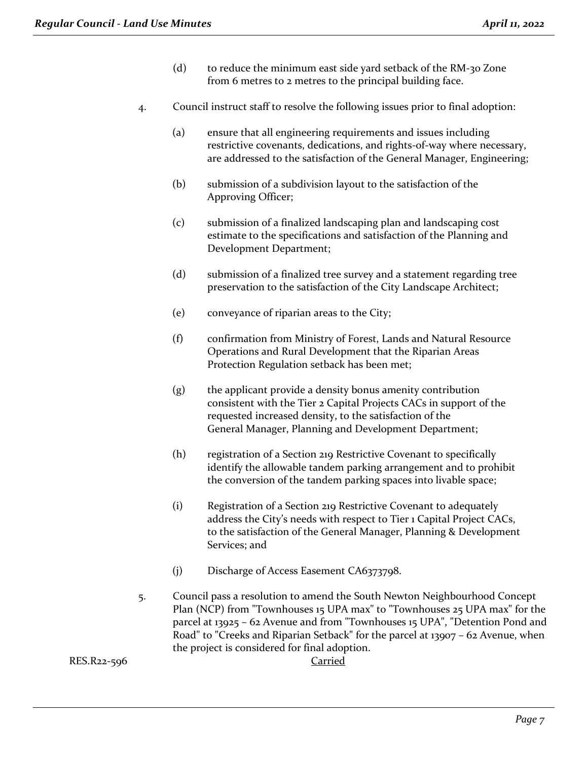- (d) to reduce the minimum east side yard setback of the RM-30 Zone from 6 metres to 2 metres to the principal building face.
- 4. Council instruct staff to resolve the following issues prior to final adoption:
	- (a) ensure that all engineering requirements and issues including restrictive covenants, dedications, and rights-of-way where necessary, are addressed to the satisfaction of the General Manager, Engineering;
	- (b) submission of a subdivision layout to the satisfaction of the Approving Officer;
	- (c) submission of a finalized landscaping plan and landscaping cost estimate to the specifications and satisfaction of the Planning and Development Department;
	- (d) submission of a finalized tree survey and a statement regarding tree preservation to the satisfaction of the City Landscape Architect;
	- (e) conveyance of riparian areas to the City;
	- (f) confirmation from Ministry of Forest, Lands and Natural Resource Operations and Rural Development that the Riparian Areas Protection Regulation setback has been met;
	- (g) the applicant provide a density bonus amenity contribution consistent with the Tier 2 Capital Projects CACs in support of the requested increased density, to the satisfaction of the General Manager, Planning and Development Department;
	- (h) registration of a Section 219 Restrictive Covenant to specifically identify the allowable tandem parking arrangement and to prohibit the conversion of the tandem parking spaces into livable space;
	- (i) Registration of a Section 219 Restrictive Covenant to adequately address the City's needs with respect to Tier 1 Capital Project CACs, to the satisfaction of the General Manager, Planning & Development Services; and
	- (j) Discharge of Access Easement CA6373798.
- 5. Council pass a resolution to amend the South Newton Neighbourhood Concept Plan (NCP) from "Townhouses 15 UPA max" to "Townhouses 25 UPA max" for the parcel at 13925 – 62 Avenue and from "Townhouses 15 UPA", "Detention Pond and Road" to "Creeks and Riparian Setback" for the parcel at 13907 – 62 Avenue, when the project is considered for final adoption.

RES.R22-596 Carried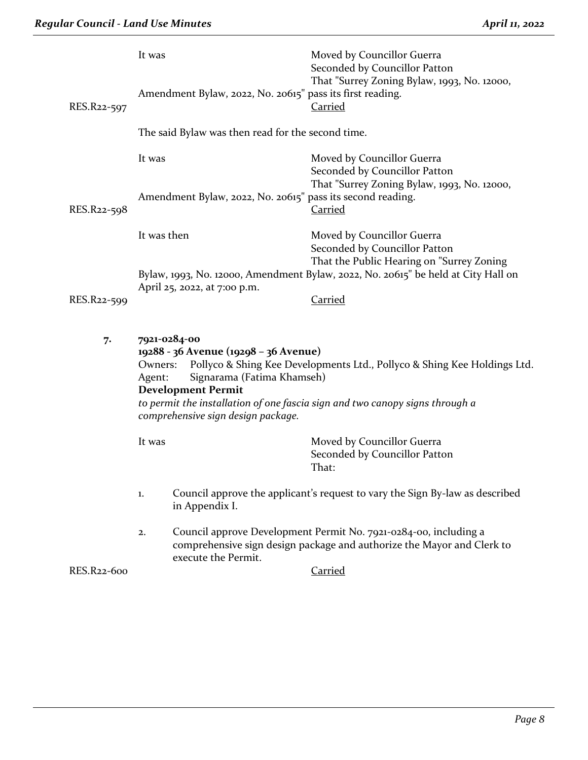| RES.R22-597 | It was            | Amendment Bylaw, 2022, No. 20615" pass its first reading.                                                                                              | Moved by Councillor Guerra<br>Seconded by Councillor Patton<br>That "Surrey Zoning Bylaw, 1993, No. 12000,<br><b>Carried</b>                             |
|-------------|-------------------|--------------------------------------------------------------------------------------------------------------------------------------------------------|----------------------------------------------------------------------------------------------------------------------------------------------------------|
|             |                   | The said Bylaw was then read for the second time.                                                                                                      |                                                                                                                                                          |
|             | It was            |                                                                                                                                                        | Moved by Councillor Guerra<br>Seconded by Councillor Patton                                                                                              |
| RES.R22-598 |                   | Amendment Bylaw, 2022, No. 20615" pass its second reading.                                                                                             | That "Surrey Zoning Bylaw, 1993, No. 12000,<br>Carried                                                                                                   |
|             | It was then       |                                                                                                                                                        | Moved by Councillor Guerra<br>Seconded by Councillor Patton<br>That the Public Hearing on "Surrey Zoning                                                 |
| RES.R22-599 |                   | April 25, 2022, at 7:00 p.m.                                                                                                                           | Bylaw, 1993, No. 12000, Amendment Bylaw, 2022, No. 20615" be held at City Hall on<br><b>Carried</b>                                                      |
| 7.          | Owners:<br>Agent: | 7921-0284-00<br>19288 - 36 Avenue (19298 - 36 Avenue)<br>Signarama (Fatima Khamseh)<br><b>Development Permit</b><br>comprehensive sign design package. | Pollyco & Shing Kee Developments Ltd., Pollyco & Shing Kee Holdings Ltd.<br>to permit the installation of one fascia sign and two canopy signs through a |
|             | It was            |                                                                                                                                                        | Moved by Councillor Guerra<br>Seconded by Councillor Patton<br>That:                                                                                     |
|             | 1.                | in Appendix I.                                                                                                                                         | Council approve the applicant's request to vary the Sign By-law as described                                                                             |
|             | 2.                | execute the Permit.                                                                                                                                    | Council approve Development Permit No. 7921-0284-00, including a<br>comprehensive sign design package and authorize the Mayor and Clerk to               |
| RES.R22-600 |                   |                                                                                                                                                        | <b>Carried</b>                                                                                                                                           |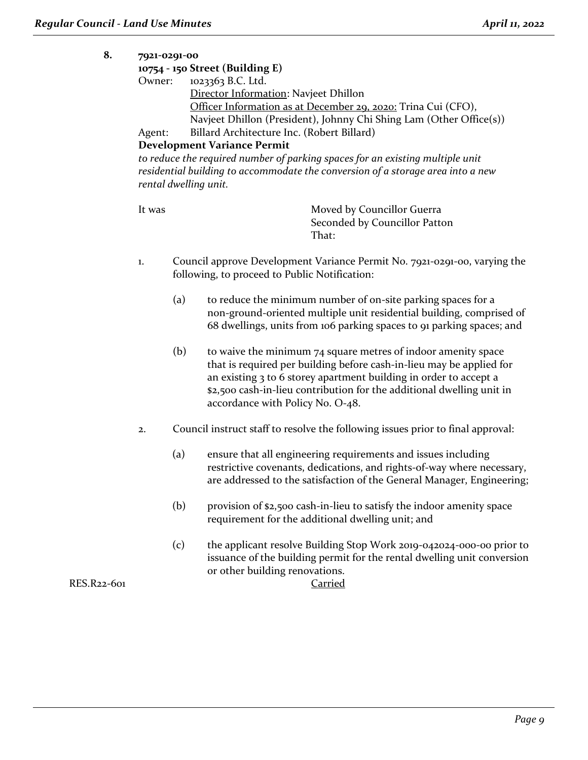#### **8. 7921-0291-00**

## **10754 - 150 Street (Building E)** Owner: 1023363 B.C. Ltd. Director Information: Navjeet Dhillon Officer Information as at December 29, 2020: Trina Cui (CFO), Navjeet Dhillon (President), Johnny Chi Shing Lam (Other Office(s)) Agent: Billard Architecture Inc. (Robert Billard)

## **Development Variance Permit**

to reduce the required number of parking spaces for an existing multiple unit *residential building to accommodate the conversion of a storage area into a new rental dwelling unit.*

It was **Moved by Councillor Guerra** Seconded by Councillor Patton That:

- 1. Council approve Development Variance Permit No. 7921-0291-00, varying the following, to proceed to Public Notification:
	- (a) to reduce the minimum number of on-site parking spaces for a non-ground-oriented multiple unit residential building, comprised of 68 dwellings, units from 106 parking spaces to 91 parking spaces; and
	- $(b)$  to waive the minimum 74 square metres of indoor amenity space that is required per building before cash-in-lieu may be applied for an existing 3 to 6 storey apartment building in order to accept a \$2,500 cash-in-lieu contribution for the additional dwelling unit in accordance with Policy No. O-48.
- 2. Council instruct staff to resolve the following issues prior to final approval:
	- (a) ensure that all engineering requirements and issues including restrictive covenants, dedications, and rights-of-way where necessary, are addressed to the satisfaction of the General Manager, Engineering;
	- (b) provision of \$2,500 cash-in-lieu to satisfy the indoor amenity space requirement for the additional dwelling unit; and
	- (c) the applicant resolve Building Stop Work 2019-042024-000-00 prior to issuance of the building permit for the rental dwelling unit conversion or other building renovations.

RES.R22-601 Carried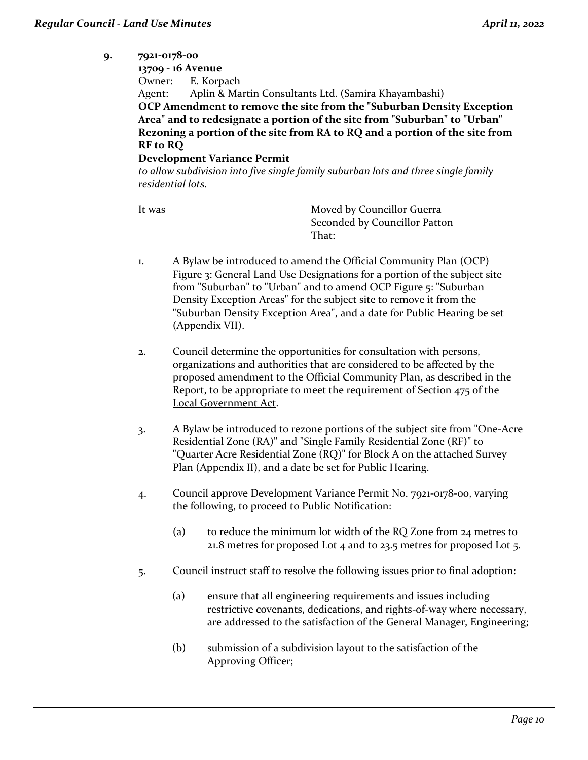## **9. 7921-0178-00 13709 - 16 Avenue** Owner: E. Korpach Agent: Aplin & Martin Consultants Ltd. (Samira Khayambashi) **OCP Amendment to remove the site from the "Suburban Density Exception Area" and to redesignate a portion of the site from "Suburban" to "Urban" Rezoning a portion of the site from RA to RQ and a portion of the site from RF to RQ Development Variance Permit** *to allow subdivision into five single family suburban lots and three single family*

*residential lots.*

It was Moved by Councillor Guerra Seconded by Councillor Patton That:

- 1. A Bylaw be introduced to amend the Official Community Plan (OCP) Figure 3: General Land Use Designations for a portion of the subject site from "Suburban" to "Urban" and to amend OCP Figure 5: "Suburban Density Exception Areas" for the subject site to remove it from the "Suburban Density Exception Area", and a date for Public Hearing be set (Appendix VII).
- 2. Council determine the opportunities for consultation with persons, organizations and authorities that are considered to be affected by the proposed amendment to the Official Community Plan, as described in the Report, to be appropriate to meet the requirement of Section 475 of the Local Government Act.
- 3. A Bylaw be introduced to rezone portions of the subject site from "One-Acre Residential Zone (RA)" and "Single Family Residential Zone (RF)" to "Quarter Acre Residential Zone (RQ)" for Block A on the attached Survey Plan (Appendix II), and a date be set for Public Hearing.
- 4. Council approve Development Variance Permit No. 7921-0178-00, varying the following, to proceed to Public Notification:
	- (a) to reduce the minimum lot width of the RQ Zone from 24 metres to 21.8 metres for proposed Lot 4 and to 23.5 metres for proposed Lot 5.
- 5. Council instruct staff to resolve the following issues prior to final adoption:
	- (a) ensure that all engineering requirements and issues including restrictive covenants, dedications, and rights-of-way where necessary, are addressed to the satisfaction of the General Manager, Engineering;
	- (b) submission of a subdivision layout to the satisfaction of the Approving Officer;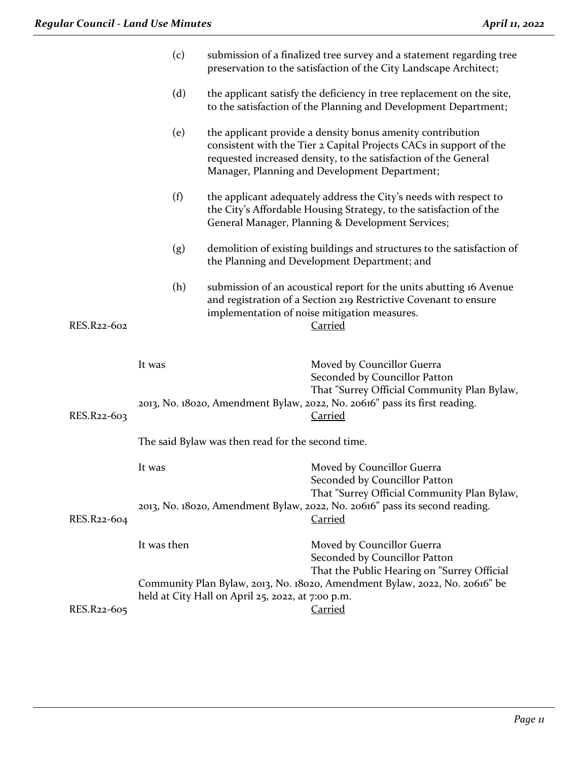|             | (c)         |                                                   | submission of a finalized tree survey and a statement regarding tree<br>preservation to the satisfaction of the City Landscape Architect;                                                                                                            |
|-------------|-------------|---------------------------------------------------|------------------------------------------------------------------------------------------------------------------------------------------------------------------------------------------------------------------------------------------------------|
|             | (d)         |                                                   | the applicant satisfy the deficiency in tree replacement on the site,<br>to the satisfaction of the Planning and Development Department;                                                                                                             |
|             | (e)         |                                                   | the applicant provide a density bonus amenity contribution<br>consistent with the Tier 2 Capital Projects CACs in support of the<br>requested increased density, to the satisfaction of the General<br>Manager, Planning and Development Department; |
|             | (f)         |                                                   | the applicant adequately address the City's needs with respect to<br>the City's Affordable Housing Strategy, to the satisfaction of the<br>General Manager, Planning & Development Services;                                                         |
|             | (g)         |                                                   | demolition of existing buildings and structures to the satisfaction of<br>the Planning and Development Department; and                                                                                                                               |
| RES.R22-602 | (h)         | implementation of noise mitigation measures.      | submission of an acoustical report for the units abutting 16 Avenue<br>and registration of a Section 219 Restrictive Covenant to ensure<br><u>Carried</u>                                                                                            |
|             | It was      |                                                   | Moved by Councillor Guerra<br>Seconded by Councillor Patton<br>That "Surrey Official Community Plan Bylaw,                                                                                                                                           |
| RES.R22-603 |             |                                                   | 2013, No. 18020, Amendment Bylaw, 2022, No. 20616" pass its first reading.<br><u>Carried</u>                                                                                                                                                         |
|             |             | The said Bylaw was then read for the second time. |                                                                                                                                                                                                                                                      |
|             | It was      |                                                   | Moved by Councillor Guerra<br>Seconded by Councillor Patton<br>That "Surrey Official Community Plan Bylaw,                                                                                                                                           |
| RES.R22-604 |             |                                                   | 2013, No. 18020, Amendment Bylaw, 2022, No. 20616" pass its second reading.<br><b>Carried</b>                                                                                                                                                        |
|             | It was then |                                                   | Moved by Councillor Guerra<br>Seconded by Councillor Patton<br>That the Public Hearing on "Surrey Official                                                                                                                                           |
| RES.R22-605 |             | held at City Hall on April 25, 2022, at 7:00 p.m. | Community Plan Bylaw, 2013, No. 18020, Amendment Bylaw, 2022, No. 20616" be<br><b>Carried</b>                                                                                                                                                        |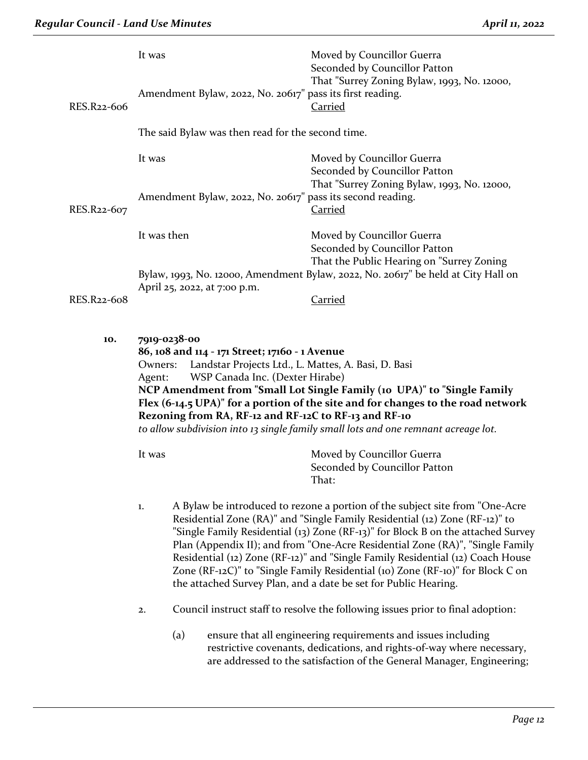|             | It was                                                                                                                                                                                                                                                                                                                                                                                                                                                                                      |                                                            | Moved by Councillor Guerra<br>Seconded by Councillor Patton                                                                                                                                                                                                                                                                                                                                                                                                                                                                                                              |
|-------------|---------------------------------------------------------------------------------------------------------------------------------------------------------------------------------------------------------------------------------------------------------------------------------------------------------------------------------------------------------------------------------------------------------------------------------------------------------------------------------------------|------------------------------------------------------------|--------------------------------------------------------------------------------------------------------------------------------------------------------------------------------------------------------------------------------------------------------------------------------------------------------------------------------------------------------------------------------------------------------------------------------------------------------------------------------------------------------------------------------------------------------------------------|
| RES.R22-606 |                                                                                                                                                                                                                                                                                                                                                                                                                                                                                             | Amendment Bylaw, 2022, No. 20617" pass its first reading.  | That "Surrey Zoning Bylaw, 1993, No. 12000,<br><b>Carried</b>                                                                                                                                                                                                                                                                                                                                                                                                                                                                                                            |
|             |                                                                                                                                                                                                                                                                                                                                                                                                                                                                                             | The said Bylaw was then read for the second time.          |                                                                                                                                                                                                                                                                                                                                                                                                                                                                                                                                                                          |
|             | It was                                                                                                                                                                                                                                                                                                                                                                                                                                                                                      |                                                            | Moved by Councillor Guerra<br>Seconded by Councillor Patton                                                                                                                                                                                                                                                                                                                                                                                                                                                                                                              |
| RES.R22-607 |                                                                                                                                                                                                                                                                                                                                                                                                                                                                                             | Amendment Bylaw, 2022, No. 20617" pass its second reading. | That "Surrey Zoning Bylaw, 1993, No. 12000,<br><b>Carried</b>                                                                                                                                                                                                                                                                                                                                                                                                                                                                                                            |
|             | It was then                                                                                                                                                                                                                                                                                                                                                                                                                                                                                 |                                                            | Moved by Councillor Guerra<br>Seconded by Councillor Patton                                                                                                                                                                                                                                                                                                                                                                                                                                                                                                              |
|             |                                                                                                                                                                                                                                                                                                                                                                                                                                                                                             | April 25, 2022, at 7:00 p.m.                               | That the Public Hearing on "Surrey Zoning<br>Bylaw, 1993, No. 12000, Amendment Bylaw, 2022, No. 20617" be held at City Hall on                                                                                                                                                                                                                                                                                                                                                                                                                                           |
| RES.R22-608 |                                                                                                                                                                                                                                                                                                                                                                                                                                                                                             |                                                            | <b>Carried</b>                                                                                                                                                                                                                                                                                                                                                                                                                                                                                                                                                           |
| 10.         | 7919-0238-00<br>86, 108 and 114 - 171 Street; 17160 - 1 Avenue<br>Landstar Projects Ltd., L. Mattes, A. Basi, D. Basi<br>Owners:<br>WSP Canada Inc. (Dexter Hirabe)<br>Agent:<br>NCP Amendment from "Small Lot Single Family (10 UPA)" to "Single Family<br>Flex (6-14.5 UPA)" for a portion of the site and for changes to the road network<br>Rezoning from RA, RF-12 and RF-12C to RF-13 and RF-10<br>to allow subdivision into 13 single family small lots and one remnant acreage lot. |                                                            |                                                                                                                                                                                                                                                                                                                                                                                                                                                                                                                                                                          |
|             | It was                                                                                                                                                                                                                                                                                                                                                                                                                                                                                      |                                                            | Moved by Councillor Guerra<br>Seconded by Councillor Patton<br>That:                                                                                                                                                                                                                                                                                                                                                                                                                                                                                                     |
|             | 1.                                                                                                                                                                                                                                                                                                                                                                                                                                                                                          |                                                            | A Bylaw be introduced to rezone a portion of the subject site from "One-Acre"<br>Residential Zone (RA)" and "Single Family Residential (12) Zone (RF-12)" to<br>"Single Family Residential (13) Zone (RF-13)" for Block B on the attached Survey<br>Plan (Appendix II); and from "One-Acre Residential Zone (RA)", "Single Family<br>Residential (12) Zone (RF-12)" and "Single Family Residential (12) Coach House<br>Zone (RF-12C)" to "Single Family Residential (10) Zone (RF-10)" for Block C on<br>the attached Survey Plan, and a date be set for Public Hearing. |
|             | 2.                                                                                                                                                                                                                                                                                                                                                                                                                                                                                          |                                                            | Council instruct staff to resolve the following issues prior to final adoption:                                                                                                                                                                                                                                                                                                                                                                                                                                                                                          |

(a) ensure that all engineering requirements and issues including restrictive covenants, dedications, and rights-of-way where necessary, are addressed to the satisfaction of the General Manager, Engineering;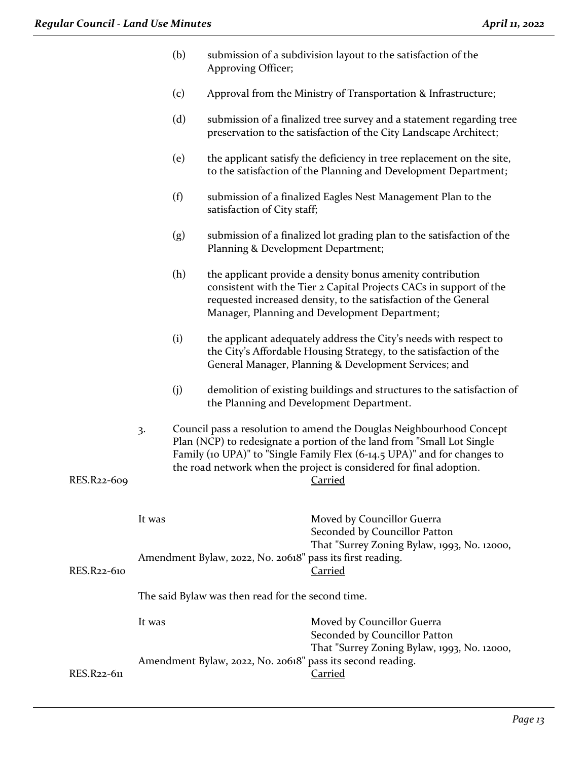| (b) | submission of a subdivision layout to the satisfaction of the |
|-----|---------------------------------------------------------------|
|     | Approving Officer;                                            |

- (c) Approval from the Ministry of Transportation & Infrastructure;
- (d) submission of a finalized tree survey and a statement regarding tree preservation to the satisfaction of the City Landscape Architect;
- (e) the applicant satisfy the deficiency in tree replacement on the site, to the satisfaction of the Planning and Development Department;
- (f) submission of a finalized Eagles Nest Management Plan to the satisfaction of City staff;
- (g) submission of a finalized lot grading plan to the satisfaction of the Planning & Development Department;
- (h) the applicant provide a density bonus amenity contribution consistent with the Tier 2 Capital Projects CACs in support of the requested increased density, to the satisfaction of the General Manager, Planning and Development Department;
- (i) the applicant adequately address the City's needs with respect to the City's Affordable Housing Strategy, to the satisfaction of the General Manager, Planning & Development Services; and
- (j) demolition of existing buildings and structures to the satisfaction of the Planning and Development Department.
- 3. Council pass a resolution to amend the Douglas Neighbourhood Concept Plan (NCP) to redesignate a portion of the land from "Small Lot Single Family (10 UPA)" to "Single Family Flex (6-14.5 UPA)" and for changes to the road network when the project is considered for final adoption. RES.R22-609 Carried

# It was **Moved by Councillor Guerra** Seconded by Councillor Patton That "Surrey Zoning Bylaw, 1993, No. 12000, Amendment Bylaw, 2022, No. 20618" pass its first reading. RES.R22-610 Carried The said Bylaw was then read for the second time. It was Moved by Councillor Guerra Seconded by Councillor Patton That "Surrey Zoning Bylaw, 1993, No. 12000, Amendment Bylaw, 2022, No. 20618" pass its second reading. RES.R22-611 Carried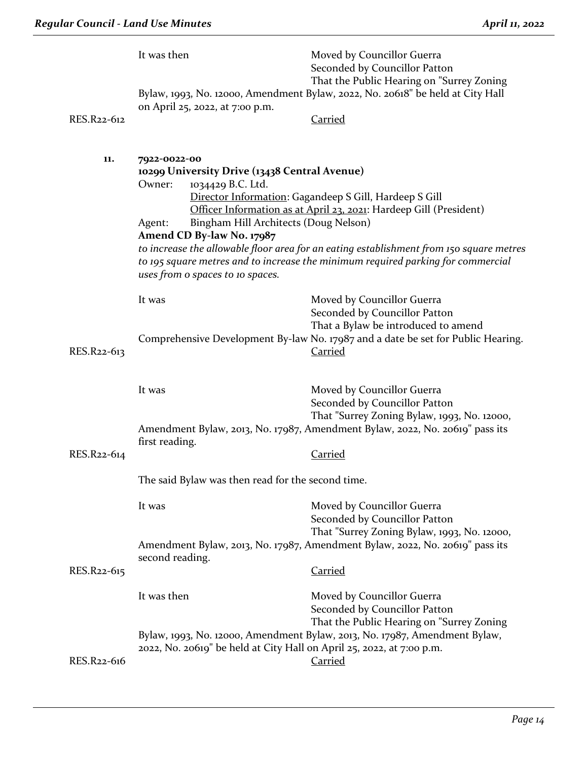|             | It was then                                                                                                                                                                                                      | Moved by Councillor Guerra<br>Seconded by Councillor Patton<br>That the Public Hearing on "Surrey Zoning                                                                                                                                                                                                    |  |
|-------------|------------------------------------------------------------------------------------------------------------------------------------------------------------------------------------------------------------------|-------------------------------------------------------------------------------------------------------------------------------------------------------------------------------------------------------------------------------------------------------------------------------------------------------------|--|
|             | on April 25, 2022, at 7:00 p.m.                                                                                                                                                                                  | Bylaw, 1993, No. 12000, Amendment Bylaw, 2022, No. 20618" be held at City Hall                                                                                                                                                                                                                              |  |
| RES.R22-612 |                                                                                                                                                                                                                  | <b>Carried</b>                                                                                                                                                                                                                                                                                              |  |
| 11.         | 7922-0022-00<br>10299 University Drive (13438 Central Avenue)<br>1034429 B.C. Ltd.<br>Owner:<br>Bingham Hill Architects (Doug Nelson)<br>Agent:<br>Amend CD By-law No. 17987<br>uses from o spaces to 10 spaces. | Director Information: Gagandeep S Gill, Hardeep S Gill<br>Officer Information as at April 23, 2021: Hardeep Gill (President)<br>to increase the allowable floor area for an eating establishment from 150 square metres<br>to 195 square metres and to increase the minimum required parking for commercial |  |
|             | It was                                                                                                                                                                                                           | Moved by Councillor Guerra<br>Seconded by Councillor Patton<br>That a Bylaw be introduced to amend<br>Comprehensive Development By-law No. 17987 and a date be set for Public Hearing.                                                                                                                      |  |
| RES.R22-613 |                                                                                                                                                                                                                  | <b>Carried</b>                                                                                                                                                                                                                                                                                              |  |
|             | It was                                                                                                                                                                                                           | Moved by Councillor Guerra<br>Seconded by Councillor Patton<br>That "Surrey Zoning Bylaw, 1993, No. 12000,                                                                                                                                                                                                  |  |
|             | Amendment Bylaw, 2013, No. 17987, Amendment Bylaw, 2022, No. 20619" pass its<br>first reading.                                                                                                                   |                                                                                                                                                                                                                                                                                                             |  |
| RES.R22-614 |                                                                                                                                                                                                                  | Carried                                                                                                                                                                                                                                                                                                     |  |
|             | The said Bylaw was then read for the second time.                                                                                                                                                                |                                                                                                                                                                                                                                                                                                             |  |
|             | It was                                                                                                                                                                                                           | Moved by Councillor Guerra<br>Seconded by Councillor Patton<br>That "Surrey Zoning Bylaw, 1993, No. 12000,                                                                                                                                                                                                  |  |
| RES.R22-615 | second reading.                                                                                                                                                                                                  | Amendment Bylaw, 2013, No. 17987, Amendment Bylaw, 2022, No. 20619" pass its<br><b>Carried</b>                                                                                                                                                                                                              |  |
|             | It was then                                                                                                                                                                                                      | Moved by Councillor Guerra<br>Seconded by Councillor Patton<br>That the Public Hearing on "Surrey Zoning                                                                                                                                                                                                    |  |
| RES.R22-616 | 2022, No. 20619" be held at City Hall on April 25, 2022, at 7:00 p.m.                                                                                                                                            | Bylaw, 1993, No. 12000, Amendment Bylaw, 2013, No. 17987, Amendment Bylaw,<br><b>Carried</b>                                                                                                                                                                                                                |  |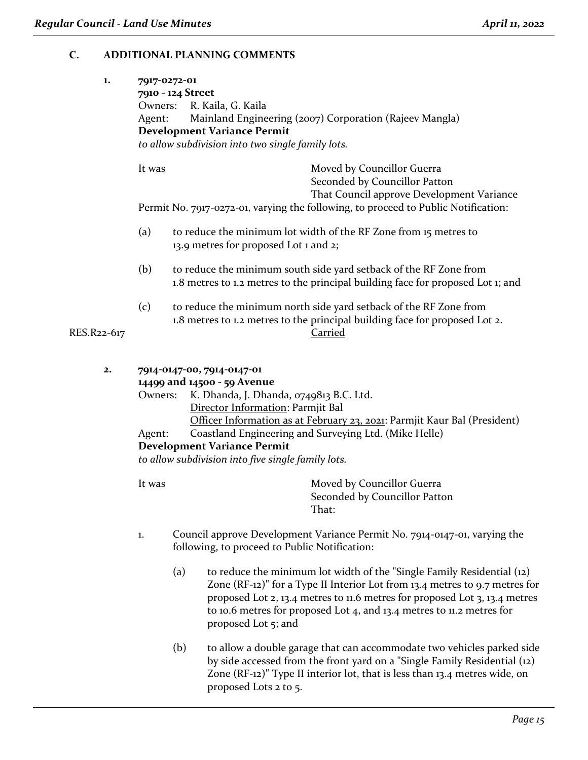# **C. ADDITIONAL PLANNING COMMENTS**

| 1.          | 7917-0272-01<br>7910 - 124 Street<br>Owners: R. Kaila, G. Kaila<br>Mainland Engineering (2007) Corporation (Rajeev Mangla)<br>Agent:<br><b>Development Variance Permit</b><br>to allow subdivision into two single family lots. |                                                                                                                                                                                                                                                                                                                                                                                                           |  |
|-------------|---------------------------------------------------------------------------------------------------------------------------------------------------------------------------------------------------------------------------------|-----------------------------------------------------------------------------------------------------------------------------------------------------------------------------------------------------------------------------------------------------------------------------------------------------------------------------------------------------------------------------------------------------------|--|
|             | It was                                                                                                                                                                                                                          | Moved by Councillor Guerra<br>Seconded by Councillor Patton<br>That Council approve Development Variance<br>Permit No. 7917-0272-01, varying the following, to proceed to Public Notification:                                                                                                                                                                                                            |  |
|             | (a)<br>to reduce the minimum lot width of the RF Zone from 15 metres to<br>13.9 metres for proposed Lot 1 and 2;                                                                                                                |                                                                                                                                                                                                                                                                                                                                                                                                           |  |
|             | (b)<br>to reduce the minimum south side yard setback of the RF Zone from<br>1.8 metres to 1.2 metres to the principal building face for proposed Lot 1; and                                                                     |                                                                                                                                                                                                                                                                                                                                                                                                           |  |
| RES.R22-617 | (c)                                                                                                                                                                                                                             | to reduce the minimum north side yard setback of the RF Zone from<br>1.8 metres to 1.2 metres to the principal building face for proposed Lot 2.<br>Carried                                                                                                                                                                                                                                               |  |
| 2.          | Owners:<br>Agent:<br>It was                                                                                                                                                                                                     | 7914-0147-00, 7914-0147-01<br>14499 and 14500 - 59 Avenue<br>K. Dhanda, J. Dhanda, 0749813 B.C. Ltd.<br>Director Information: Parmjit Bal<br>Officer Information as at February 23, 2021: Parmjit Kaur Bal (President)<br>Coastland Engineering and Surveying Ltd. (Mike Helle)<br><b>Development Variance Permit</b><br>to allow subdivision into five single family lots.<br>Moved by Councillor Guerra |  |
|             |                                                                                                                                                                                                                                 | Seconded by Councillor Patton<br>That:                                                                                                                                                                                                                                                                                                                                                                    |  |

- 1. Council approve Development Variance Permit No. 7914-0147-01, varying the following, to proceed to Public Notification:
	- (a) to reduce the minimum lot width of the "Single Family Residential (12) Zone (RF-12)" for a Type II Interior Lot from 13.4 metres to 9.7 metres for proposed Lot 2, 13.4 metres to 11.6 metres for proposed Lot 3, 13.4 metres to 10.6 metres for proposed Lot 4, and 13.4 metres to 11.2 metres for proposed Lot 5; and
	- (b) to allow a double garage that can accommodate two vehicles parked side by side accessed from the front yard on a "Single Family Residential (12) Zone (RF-12)" Type II interior lot, that is less than 13.4 metres wide, on proposed Lots 2 to 5.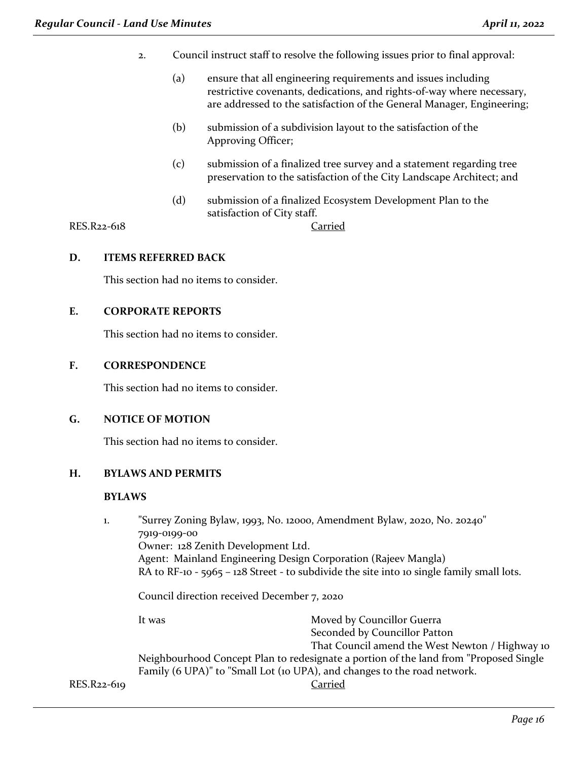- 2. Council instruct staff to resolve the following issues prior to final approval:
	- (a) ensure that all engineering requirements and issues including restrictive covenants, dedications, and rights-of-way where necessary, are addressed to the satisfaction of the General Manager, Engineering;
	- (b) submission of a subdivision layout to the satisfaction of the Approving Officer;
	- (c) submission of a finalized tree survey and a statement regarding tree preservation to the satisfaction of the City Landscape Architect; and
	- (d) submission of a finalized Ecosystem Development Plan to the satisfaction of City staff.

RES.R22-618 Carried

## **D. ITEMS REFERRED BACK**

This section had no items to consider.

## **E. CORPORATE REPORTS**

This section had no items to consider.

#### **F. CORRESPONDENCE**

This section had no items to consider.

#### **G. NOTICE OF MOTION**

This section had no items to consider.

### **H. BYLAWS AND PERMITS**

## **BYLAWS**

| 1.          |              | "Surrey Zoning Bylaw, 1993, No. 12000, Amendment Bylaw, 2020, No. 20240"                                                                                           |  |  |  |
|-------------|--------------|--------------------------------------------------------------------------------------------------------------------------------------------------------------------|--|--|--|
|             | 7919-0199-00 |                                                                                                                                                                    |  |  |  |
|             |              | Owner: 128 Zenith Development Ltd.                                                                                                                                 |  |  |  |
|             |              | Agent: Mainland Engineering Design Corporation (Rajeev Mangla)                                                                                                     |  |  |  |
|             |              | RA to RF-10 - 5965 - 128 Street - to subdivide the site into 10 single family small lots.                                                                          |  |  |  |
|             |              | Council direction received December 7, 2020                                                                                                                        |  |  |  |
|             | It was       | Moved by Councillor Guerra                                                                                                                                         |  |  |  |
|             |              | Seconded by Councillor Patton                                                                                                                                      |  |  |  |
|             |              | That Council amend the West Newton / Highway 10                                                                                                                    |  |  |  |
|             |              | Neighbourhood Concept Plan to redesignate a portion of the land from "Proposed Single"<br>Family (6 UPA)" to "Small Lot (10 UPA), and changes to the road network. |  |  |  |
| RES.R22-619 |              | Carried                                                                                                                                                            |  |  |  |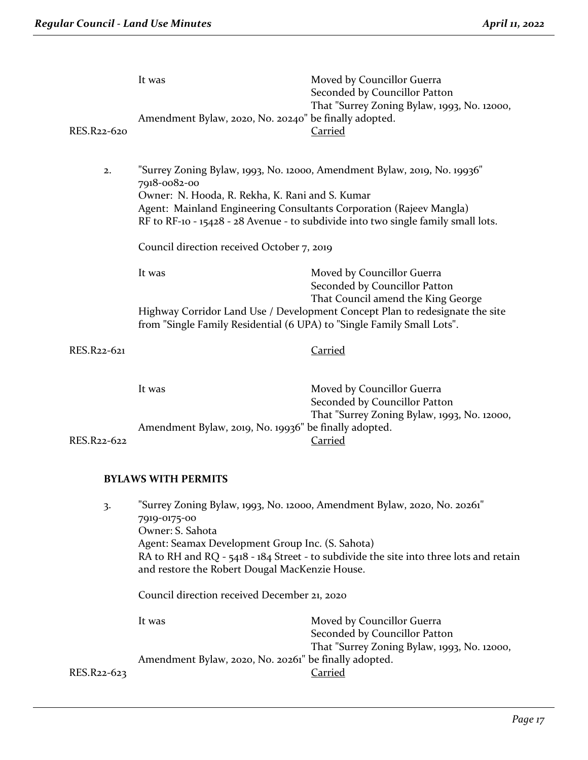| RES.R22-620 | It was<br>Amendment Bylaw, 2020, No. 20240" be finally adopted.                                                                                                                                                                                                                                              | Moved by Councillor Guerra<br>Seconded by Councillor Patton<br>That "Surrey Zoning Bylaw, 1993, No. 12000,<br>Carried |  |
|-------------|--------------------------------------------------------------------------------------------------------------------------------------------------------------------------------------------------------------------------------------------------------------------------------------------------------------|-----------------------------------------------------------------------------------------------------------------------|--|
| 2.          | "Surrey Zoning Bylaw, 1993, No. 12000, Amendment Bylaw, 2019, No. 19936"<br>7918-0082-00<br>Owner: N. Hooda, R. Rekha, K. Rani and S. Kumar<br>Agent: Mainland Engineering Consultants Corporation (Rajeev Mangla)<br>RF to RF-10 - 15428 - 28 Avenue - to subdivide into two single family small lots.      |                                                                                                                       |  |
|             | Council direction received October 7, 2019                                                                                                                                                                                                                                                                   |                                                                                                                       |  |
|             | It was                                                                                                                                                                                                                                                                                                       | Moved by Councillor Guerra<br>Seconded by Councillor Patton<br>That Council amend the King George                     |  |
|             | Highway Corridor Land Use / Development Concept Plan to redesignate the site<br>from "Single Family Residential (6 UPA) to "Single Family Small Lots".                                                                                                                                                       |                                                                                                                       |  |
| RES.R22-621 |                                                                                                                                                                                                                                                                                                              | <b>Carried</b>                                                                                                        |  |
|             | It was                                                                                                                                                                                                                                                                                                       | Moved by Councillor Guerra<br>Seconded by Councillor Patton<br>That "Surrey Zoning Bylaw, 1993, No. 12000,            |  |
| RES.R22-622 | Amendment Bylaw, 2019, No. 19936" be finally adopted.                                                                                                                                                                                                                                                        | Carried                                                                                                               |  |
|             | <b>BYLAWS WITH PERMITS</b>                                                                                                                                                                                                                                                                                   |                                                                                                                       |  |
| 3.          | "Surrey Zoning Bylaw, 1993, No. 12000, Amendment Bylaw, 2020, No. 20261"<br>7919-0175-00<br>Owner: S. Sahota<br>Agent: Seamax Development Group Inc. (S. Sahota)<br>RA to RH and RQ - 5418 - 184 Street - to subdivide the site into three lots and retain<br>and restore the Robert Dougal MacKenzie House. |                                                                                                                       |  |

Council direction received December 21, 2020

It was **Moved by Councillor Guerra** Seconded by Councillor Patton That "Surrey Zoning Bylaw, 1993, No. 12000, Amendment Bylaw, 2020, No. 20261" be finally adopted.<br>Carried

RES.R22-623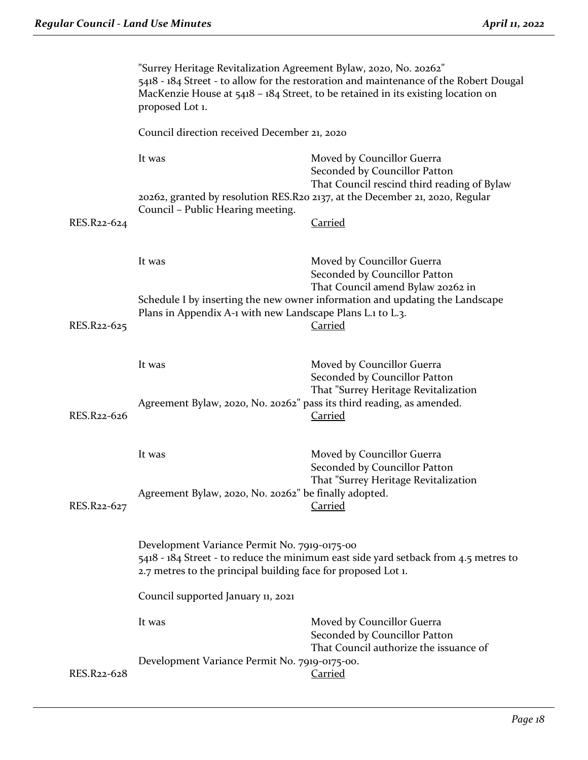|             | "Surrey Heritage Revitalization Agreement Bylaw, 2020, No. 20262"<br>5418 - 184 Street - to allow for the restoration and maintenance of the Robert Dougal<br>MacKenzie House at $5418 - 184$ Street, to be retained in its existing location on<br>proposed Lot 1.                                                                                    |                                                                                                            |  |
|-------------|--------------------------------------------------------------------------------------------------------------------------------------------------------------------------------------------------------------------------------------------------------------------------------------------------------------------------------------------------------|------------------------------------------------------------------------------------------------------------|--|
|             | Council direction received December 21, 2020                                                                                                                                                                                                                                                                                                           |                                                                                                            |  |
|             | It was                                                                                                                                                                                                                                                                                                                                                 | Moved by Councillor Guerra<br>Seconded by Councillor Patton<br>That Council rescind third reading of Bylaw |  |
|             | 20262, granted by resolution RES.R20 2137, at the December 21, 2020, Regular<br>Council - Public Hearing meeting.                                                                                                                                                                                                                                      |                                                                                                            |  |
| RES.R22-624 |                                                                                                                                                                                                                                                                                                                                                        | <b>Carried</b>                                                                                             |  |
|             | It was                                                                                                                                                                                                                                                                                                                                                 | Moved by Councillor Guerra<br>Seconded by Councillor Patton<br>That Council amend Bylaw 20262 in           |  |
| RES.R22-625 | Schedule I by inserting the new owner information and updating the Landscape<br>Plans in Appendix A-1 with new Landscape Plans L.1 to L.3.<br><b>Carried</b>                                                                                                                                                                                           |                                                                                                            |  |
|             | It was                                                                                                                                                                                                                                                                                                                                                 | Moved by Councillor Guerra<br>Seconded by Councillor Patton<br>That "Surrey Heritage Revitalization        |  |
| RES.R22-626 | Agreement Bylaw, 2020, No. 20262" pass its third reading, as amended.<br><b>Carried</b>                                                                                                                                                                                                                                                                |                                                                                                            |  |
|             | It was                                                                                                                                                                                                                                                                                                                                                 | Moved by Councillor Guerra<br>Seconded by Councillor Patton                                                |  |
| RES.R22-627 | That "Surrey Heritage Revitalization<br>Agreement Bylaw, 2020, No. 20262" be finally adopted.<br>Carried<br>Development Variance Permit No. 7919-0175-00<br>5418 - 184 Street - to reduce the minimum east side yard setback from 4.5 metres to<br>2.7 metres to the principal building face for proposed Lot 1.<br>Council supported January 11, 2021 |                                                                                                            |  |
|             |                                                                                                                                                                                                                                                                                                                                                        |                                                                                                            |  |
|             |                                                                                                                                                                                                                                                                                                                                                        |                                                                                                            |  |
|             | It was                                                                                                                                                                                                                                                                                                                                                 | Moved by Councillor Guerra<br>Seconded by Councillor Patton<br>That Council authorize the issuance of      |  |
| RES.R22-628 | Development Variance Permit No. 7919-0175-00.                                                                                                                                                                                                                                                                                                          | <b>Carried</b>                                                                                             |  |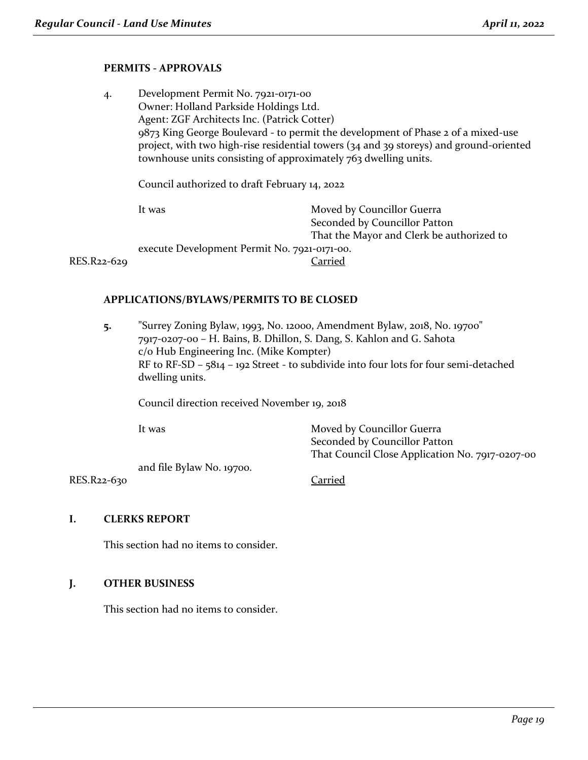# **PERMITS - APPROVALS**

| 4.          | Development Permit No. 7921-0171-00                                                                                                                                        |                                           |  |
|-------------|----------------------------------------------------------------------------------------------------------------------------------------------------------------------------|-------------------------------------------|--|
|             | Owner: Holland Parkside Holdings Ltd.                                                                                                                                      |                                           |  |
|             | Agent: ZGF Architects Inc. (Patrick Cotter)                                                                                                                                |                                           |  |
|             | 9873 King George Boulevard - to permit the development of Phase 2 of a mixed-use<br>project, with two high-rise residential towers (34 and 39 storeys) and ground-oriented |                                           |  |
|             | townhouse units consisting of approximately 763 dwelling units.                                                                                                            |                                           |  |
|             | Council authorized to draft February 14, 2022                                                                                                                              |                                           |  |
|             | It was                                                                                                                                                                     | Moved by Councillor Guerra                |  |
|             |                                                                                                                                                                            | Seconded by Councillor Patton             |  |
|             |                                                                                                                                                                            | That the Mayor and Clerk be authorized to |  |
|             | execute Development Permit No. 7921-0171-00.                                                                                                                               |                                           |  |
| RES.R22-629 |                                                                                                                                                                            | Carried                                   |  |
|             |                                                                                                                                                                            |                                           |  |

#### **APPLICATIONS/BYLAWS/PERMITS TO BE CLOSED**

**5.** "Surrey Zoning Bylaw, 1993, No. 12000, Amendment Bylaw, 2018, No. 19700" 7917-0207-00 – H. Bains, B. Dhillon, S. Dang, S. Kahlon and G. Sahota c/o Hub Engineering Inc. (Mike Kompter) RF to RF-SD – 5814 – 192 Street - to subdivide into four lots for four semi-detached dwelling units.

Council direction received November 19, 2018

| It was                    | Moved by Councillor Guerra                      |
|---------------------------|-------------------------------------------------|
|                           | Seconded by Councillor Patton                   |
|                           | That Council Close Application No. 7917-0207-00 |
| and file Bylaw No. 19700. |                                                 |

RES.R22-630 Carried

## **I. CLERKS REPORT**

This section had no items to consider.

## **J. OTHER BUSINESS**

This section had no items to consider.